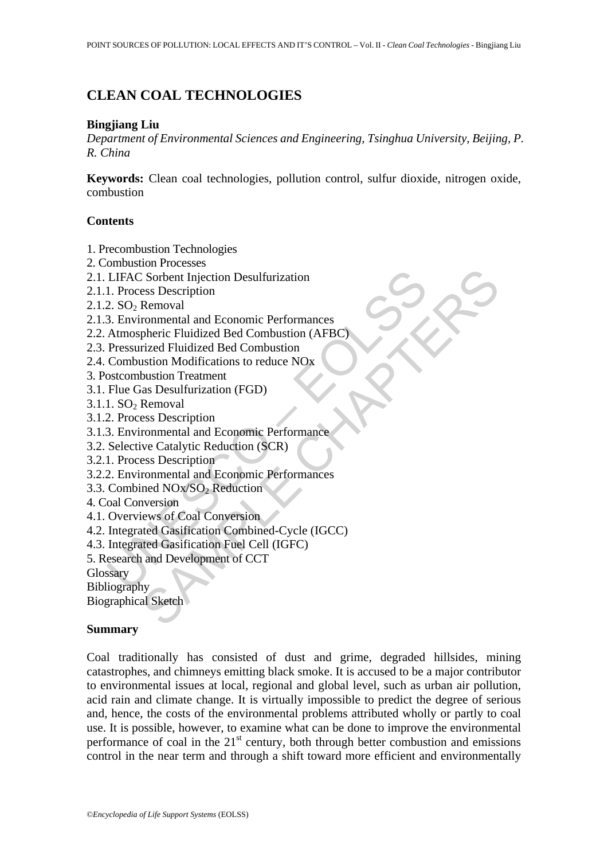# **CLEAN COAL TECHNOLOGIES**

### **Bingjiang Liu**

*Department of Environmental Sciences and Engineering, Tsinghua University, Beijing, P. R. China* 

**Keywords:** Clean coal technologies, pollution control, sulfur dioxide, nitrogen oxide, combustion

### **Contents**

- 1. Precombustion Technologies
- 2. Combustion Processes
- 2.1. LIFAC Sorbent Injection Desulfurization
- 2.1.1. Process Description
- $2.1.2$ . SO<sub>2</sub> Removal
- 2.1.3. Environmental and Economic Performances
- 2.2. Atmospheric Fluidized Bed Combustion (AFBC)
- 2.3. Pressurized Fluidized Bed Combustion
- 2.4. Combustion Modifications to reduce NOx
- 3. Postcombustion Treatment
- 3.1. Flue Gas Desulfurization (FGD)
- $3.1.1.$  SO<sub>2</sub> Removal
- 3.1.2. Process Description
- 3.1.3. Environmental and Economic Performance
- 3.2. Selective Catalytic Reduction (SCR)
- 3.2.1. Process Description
- 3.2.2. Environmental and Economic Performances
- 3.3. Combined NOx/SO<sub>2</sub> Reduction
- 4. Coal Conversion
- 4.1. Overviews of Coal Conversion
- LIFAC Sorbent Injection Desultinization<br>
1. Process Description<br>
2. SO<sub>2</sub> Removal<br>
3. Environmental and Economic Performances<br>
Atmospheric Fluidized Bed Combustion (AFBC)<br>
Atmospheric Fluidized Bed Combustion<br>
Combustion M Content Injection Desulfurization<br>
SCO SCONTE Injection<br>
Removal<br>
Removal<br>
Transmatized Bed Combustion (AFBC)<br>
Trized Fluidized Bed Combustion<br>
Instituted Fluidized Bed Combustion<br>
bustion Treatment<br>
bustion Treatment<br>
Sus 4.2. Integrated Gasification Combined-Cycle (IGCC)
- 4.3. Integrated Gasification Fuel Cell (IGFC)
- 5. Research and Development of CCT
- **Glossary**

**Bibliography** 

Biographical Sketch

## **Summary**

Coal traditionally has consisted of dust and grime, degraded hillsides, mining catastrophes, and chimneys emitting black smoke. It is accused to be a major contributor to environmental issues at local, regional and global level, such as urban air pollution, acid rain and climate change. It is virtually impossible to predict the degree of serious and, hence, the costs of the environmental problems attributed wholly or partly to coal use. It is possible, however, to examine what can be done to improve the environmental performance of coal in the  $21<sup>st</sup>$  century, both through better combustion and emissions control in the near term and through a shift toward more efficient and environmentally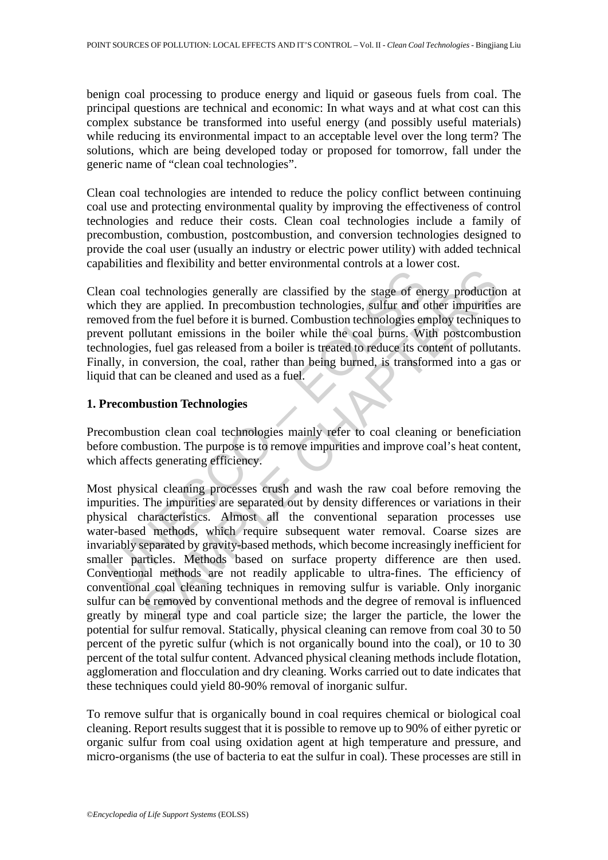benign coal processing to produce energy and liquid or gaseous fuels from coal. The principal questions are technical and economic: In what ways and at what cost can this complex substance be transformed into useful energy (and possibly useful materials) while reducing its environmental impact to an acceptable level over the long term? The solutions, which are being developed today or proposed for tomorrow, fall under the generic name of "clean coal technologies".

Clean coal technologies are intended to reduce the policy conflict between continuing coal use and protecting environmental quality by improving the effectiveness of control technologies and reduce their costs. Clean coal technologies include a family of precombustion, combustion, postcombustion, and conversion technologies designed to provide the coal user (usually an industry or electric power utility) with added technical capabilities and flexibility and better environmental controls at a lower cost.

Clean coal technologies generally are classified by the stage of energy production at which they are applied. In precombustion technologies, sulfur and other impurities are removed from the fuel before it is burned. Combustion technologies employ techniques to prevent pollutant emissions in the boiler while the coal burns. With postcombustion technologies, fuel gas released from a boiler is treated to reduce its content of pollutants. Finally, in conversion, the coal, rather than being burned, is transformed into a gas or liquid that can be cleaned and used as a fuel.

## **1. Precombustion Technologies**

Precombustion clean coal technologies mainly refer to coal cleaning or beneficiation before combustion. The purpose is to remove impurities and improve coal's heat content, which affects generating efficiency.

an coal technologies generally are classified by the stage of ench they are applied. In precombustion technologies, sulfur and o oved from the fuel before it is burned. Combustion technologies ent polition ten end between rechable generally are classified by the stage of energy production<br>technologies generally are classified by the stage of energy production<br>om the fuel before it is burned. Combustion technologies employ ecchinque<br>llutant Most physical cleaning processes crush and wash the raw coal before removing the impurities. The impurities are separated out by density differences or variations in their physical characteristics. Almost all the conventional separation processes use water-based methods, which require subsequent water removal. Coarse sizes are invariably separated by gravity-based methods, which become increasingly inefficient for smaller particles. Methods based on surface property difference are then used. Conventional methods are not readily applicable to ultra-fines. The efficiency of conventional coal cleaning techniques in removing sulfur is variable. Only inorganic sulfur can be removed by conventional methods and the degree of removal is influenced greatly by mineral type and coal particle size; the larger the particle, the lower the potential for sulfur removal. Statically, physical cleaning can remove from coal 30 to 50 percent of the pyretic sulfur (which is not organically bound into the coal), or 10 to 30 percent of the total sulfur content. Advanced physical cleaning methods include flotation, agglomeration and flocculation and dry cleaning. Works carried out to date indicates that these techniques could yield 80-90% removal of inorganic sulfur.

To remove sulfur that is organically bound in coal requires chemical or biological coal cleaning. Report results suggest that it is possible to remove up to 90% of either pyretic or organic sulfur from coal using oxidation agent at high temperature and pressure, and micro-organisms (the use of bacteria to eat the sulfur in coal). These processes are still in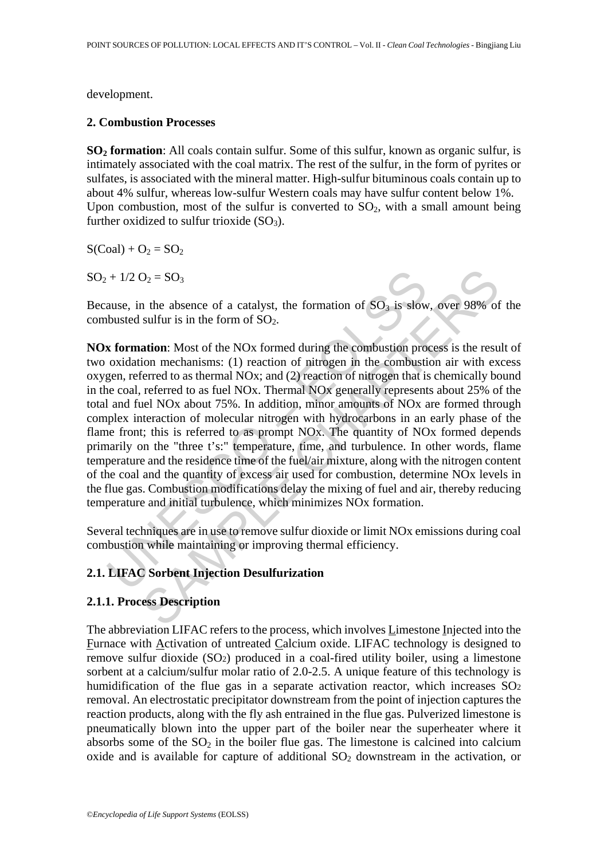development.

### **2. Combustion Processes**

**SO2 formation**: All coals contain sulfur. Some of this sulfur, known as organic sulfur, is intimately associated with the coal matrix. The rest of the sulfur, in the form of pyrites or sulfates, is associated with the mineral matter. High-sulfur bituminous coals contain up to about 4% sulfur, whereas low-sulfur Western coals may have sulfur content below 1%. Upon combustion, most of the sulfur is converted to  $SO<sub>2</sub>$ , with a small amount being further oxidized to sulfur trioxide  $(SO<sub>3</sub>)$ .

 $S(Coal) + O<sub>2</sub> = SO<sub>2</sub>$ 

 $SO_2 + 1/2 O_2 = SO_3$ 

Because, in the absence of a catalyst, the formation of  $SO<sub>3</sub>$  is slow, over 98% of the combusted sulfur is in the form of  $SO<sub>2</sub>$ .

+ 1/2 O<sub>2</sub> = SO<sub>3</sub><br>ause, in the absence of a catalyst, the formation of SO<sub>3</sub> is slow<br>busted sulfur is in the form of SO<sub>2</sub>.<br>**x formation**: Most of the NOx formed during the combustion pro<br>oxidation mechanisms: (1) reacti  $D_2 = SO_3$ <br>
an the absence of a catalyst, the formation of  $SO_3$  is slow, over 98% of<br>
sulfur is in the form of  $SO_2$ .<br> **ation**: Most of the NOx formed during the combustion process is the resu<br>
ion mechanisms: (1) reactio **NOx formation**: Most of the NOx formed during the combustion process is the result of two oxidation mechanisms: (1) reaction of nitrogen in the combustion air with excess oxygen, referred to as thermal NOx; and (2) reaction of nitrogen that is chemically bound in the coal, referred to as fuel NOx. Thermal NOx generally represents about 25% of the total and fuel NOx about 75%. In addition, minor amounts of NOx are formed through complex interaction of molecular nitrogen with hydrocarbons in an early phase of the flame front; this is referred to as prompt NOx. The quantity of NOx formed depends primarily on the "three t's:" temperature, time, and turbulence. In other words, flame temperature and the residence time of the fuel/air mixture, along with the nitrogen content of the coal and the quantity of excess air used for combustion, determine NOx levels in the flue gas. Combustion modifications delay the mixing of fuel and air, thereby reducing temperature and initial turbulence, which minimizes NOx formation.

Several techniques are in use to remove sulfur dioxide or limit NOx emissions during coal combustion while maintaining or improving thermal efficiency.

## **2.1. LIFAC Sorbent Injection Desulfurization**

## **2.1.1. Process Description**

The abbreviation LIFAC refers to the process, which involves Limestone Injected into the Furnace with Activation of untreated Calcium oxide. LIFAC technology is designed to remove sulfur dioxide (SO2) produced in a coal-fired utility boiler, using a limestone sorbent at a calcium/sulfur molar ratio of 2.0-2.5. A unique feature of this technology is humidification of the flue gas in a separate activation reactor, which increases SO<sub>2</sub> removal. An electrostatic precipitator downstream from the point of injection captures the reaction products, along with the fly ash entrained in the flue gas. Pulverized limestone is pneumatically blown into the upper part of the boiler near the superheater where it absorbs some of the  $SO_2$  in the boiler flue gas. The limestone is calcined into calcium oxide and is available for capture of additional  $SO_2$  downstream in the activation, or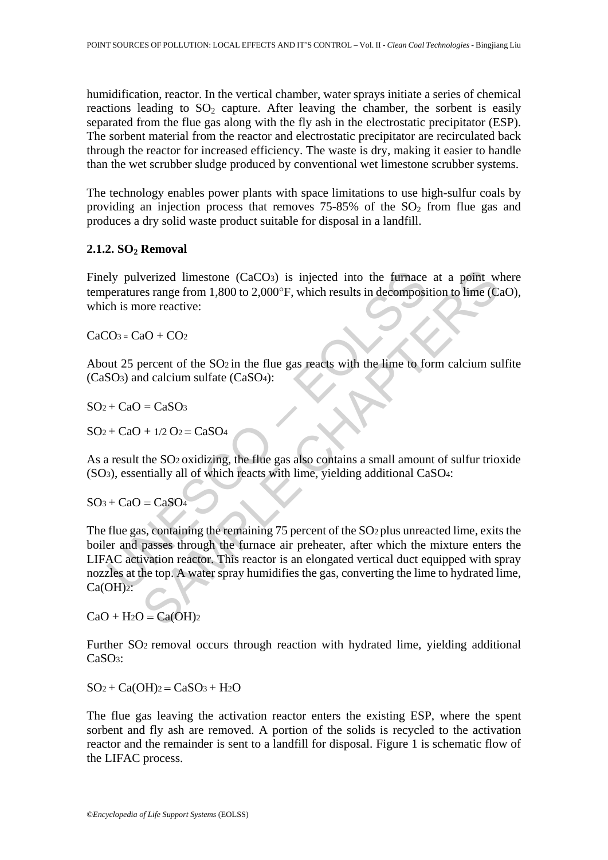humidification, reactor. In the vertical chamber, water sprays initiate a series of chemical reactions leading to  $SO_2$  capture. After leaving the chamber, the sorbent is easily separated from the flue gas along with the fly ash in the electrostatic precipitator (ESP). The sorbent material from the reactor and electrostatic precipitator are recirculated back through the reactor for increased efficiency. The waste is dry, making it easier to handle than the wet scrubber sludge produced by conventional wet limestone scrubber systems.

The technology enables power plants with space limitations to use high-sulfur coals by providing an injection process that removes  $75-85%$  of the  $SO<sub>2</sub>$  from flue gas and produces a dry solid waste product suitable for disposal in a landfill.

## **2.1.2. SO2 Removal**

Finely pulverized limestone (CaCO<sub>3</sub>) is injected into the furnace at a point where temperatures range from 1,800 to 2,000°F, which results in decomposition to lime (CaO), which is more reactive:

 $CaCO<sub>3</sub> = CaO + CO<sub>2</sub>$ 

About 25 percent of the  $SO<sub>2</sub>$  in the flue gas reacts with the lime to form calcium sulfite (CaSO3) and calcium sulfate (CaSO4):

$$
SO_2 + CaO = CaSO_3
$$

 $SO_2 + CaO + 1/2 O_2 = CaSO_4$ 

As a result the SO2 oxidizing, the flue gas also contains a small amount of sulfur trioxide (SO3), essentially all of which reacts with lime, yielding additional CaSO4:

 $SO<sub>3</sub> + CaO = CaSO<sub>4</sub>$ 

by pulverized limestone (CaCO<sub>3</sub>) is injected into the furnace<br>peratures range from 1,800 to 2,000°F, which results in decomposi<br>ch is more reactive:<br> $20s = CaO + CO_2$ <br>unt 25 percent of the SO<sub>2</sub> in the flue gas reacts with th verized limestone (CaCOs) is injected into the furnace at a point w<br>es range from 1,800 to 2,000°F, which results in decomposition to lime (C<br>ore reactive:<br>aO + CO<sub>2</sub><br>aP + tO<sub>2</sub><br>aP + tO<sub>2</sub><br>aP + to 5O<sub>2</sub> in the flue gas re The flue gas, containing the remaining 75 percent of the SO<sub>2</sub> plus unreacted lime, exits the boiler and passes through the furnace air preheater, after which the mixture enters the LIFAC activation reactor. This reactor is an elongated vertical duct equipped with spray nozzles at the top. A water spray humidifies the gas, converting the lime to hydrated lime,  $Ca(OH)$ <sub>2</sub>:

 $CaO + H<sub>2</sub>O = Ca(OH)<sub>2</sub>$ 

Further SO2 removal occurs through reaction with hydrated lime, yielding additional CaSO3:

 $SO_2 + Ca(OH)_2 = CaSO_3 + H_2O$ 

The flue gas leaving the activation reactor enters the existing ESP, where the spent sorbent and fly ash are removed. A portion of the solids is recycled to the activation reactor and the remainder is sent to a landfill for disposal. Figure 1 is schematic flow of the LIFAC process.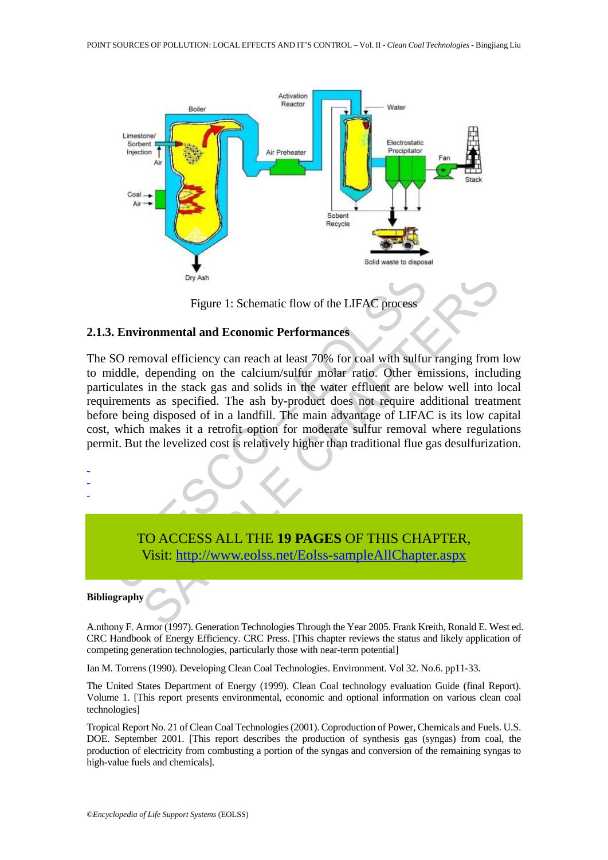

Figure 1: Schematic flow of the LIFAC process

### **2.1.3. Environmental and Economic Performances**

The SO removal efficiency can reach at least 70% for coal with sulfur ranging from low to middle, depending on the calcium/sulfur molar ratio. Other emissions, including particulates in the stack gas and solids in the water effluent are below well into local requirements as specified. The ash by-product does not require additional treatment before being disposed of in a landfill. The main advantage of LIFAC is its low capital cost, which makes it a retrofit option for moderate sulfur removal where regulations permit. But the levelized cost is relatively higher than traditional flue gas desulfurization.



A.nthony F. Armor (1997). Generation Technologies Through the Year 2005. Frank Kreith, Ronald E. West ed. CRC Handbook of Energy Efficiency. CRC Press. [This chapter reviews the status and likely application of competing generation technologies, particularly those with near-term potential]

Ian M. Torrens (1990). Developing Clean Coal Technologies. Environment. Vol 32. No.6. pp11-33.

The United States Department of Energy (1999). Clean Coal technology evaluation Guide (final Report). Volume 1. [This report presents environmental, economic and optional information on various clean coal technologies]

Tropical Report No. 21 of Clean Coal Technologies (2001). Coproduction of Power, Chemicals and Fuels. U.S. DOE. September 2001. [This report describes the production of synthesis gas (syngas) from coal, the production of electricity from combusting a portion of the syngas and conversion of the remaining syngas to high-value fuels and chemicals].